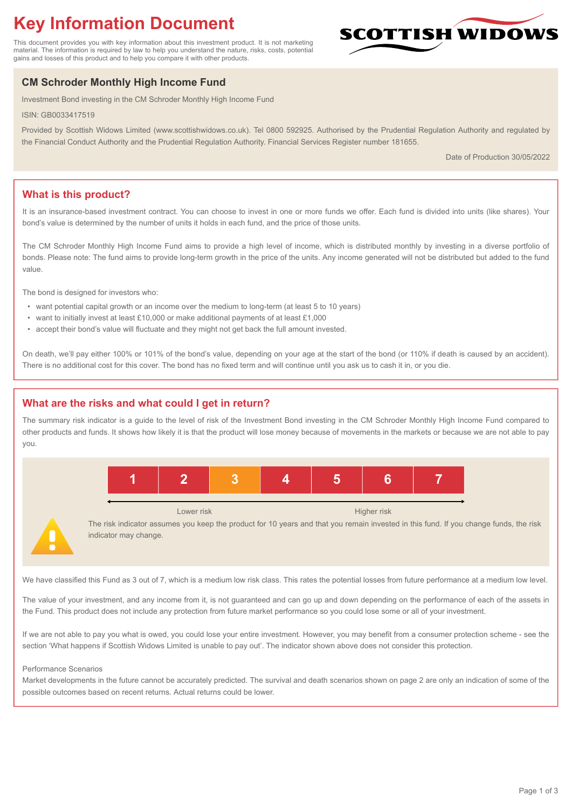# **Key Information Document**

This document provides you with key information about this investment product. It is not marketing material. The information is required by law to help you understand the nature, risks, costs, potential gains and losses of this product and to help you compare it with other products.

# **CM Schroder Monthly High Income Fund**

Investment Bond investing in the CM Schroder Monthly High Income Fund

ISIN: GB0033417519

Provided by Scottish Widows Limited (www.scottishwidows.co.uk). Tel 0800 592925. Authorised by the Prudential Regulation Authority and regulated by the Financial Conduct Authority and the Prudential Regulation Authority. Financial Services Register number 181655.

Date of Production 30/05/2022

**SCOTTISH WIDOW** 

# **What is this product?**

It is an insurance-based investment contract. You can choose to invest in one or more funds we offer. Each fund is divided into units (like shares). Your bond's value is determined by the number of units it holds in each fund, and the price of those units.

The CM Schroder Monthly High Income Fund aims to provide a high level of income, which is distributed monthly by investing in a diverse portfolio of bonds. Please note: The fund aims to provide long-term growth in the price of the units. Any income generated will not be distributed but added to the fund value

The bond is designed for investors who:

- want potential capital growth or an income over the medium to long-term (at least 5 to 10 years)
- want to initially invest at least £10,000 or make additional payments of at least £1,000
- accept their bond's value will fluctuate and they might not get back the full amount invested.

On death, we'll pay either 100% or 101% of the bond's value, depending on your age at the start of the bond (or 110% if death is caused by an accident). There is no additional cost for this cover. The bond has no fixed term and will continue until you ask us to cash it in, or you die.

# **What are the risks and what could I get in return?**

The summary risk indicator is a guide to the level of risk of the Investment Bond investing in the CM Schroder Monthly High Income Fund compared to other products and funds. It shows how likely it is that the product will lose money because of movements in the markets or because we are not able to pay you.



Lower risk **Higher risk** Higher risk **Higher risk** 

The risk indicator assumes you keep the product for 10 years and that you remain invested in this fund. If you change funds, the risk indicator may change.

We have classified this Fund as 3 out of 7, which is a medium low risk class. This rates the potential losses from future performance at a medium low level.

The value of your investment, and any income from it, is not guaranteed and can go up and down depending on the performance of each of the assets in the Fund. This product does not include any protection from future market performance so you could lose some or all of your investment.

If we are not able to pay you what is owed, you could lose your entire investment. However, you may benefit from a consumer protection scheme - see the section 'What happens if Scottish Widows Limited is unable to pay out'. The indicator shown above does not consider this protection.

#### Performance Scenarios

Market developments in the future cannot be accurately predicted. The survival and death scenarios shown on page 2 are only an indication of some of the possible outcomes based on recent returns. Actual returns could be lower.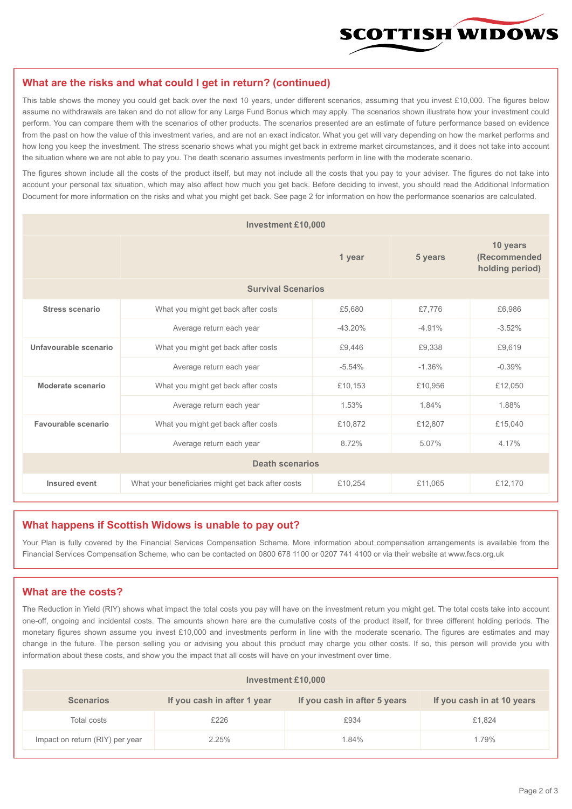

#### **What are the risks and what could I get in return? (continued)**

This table shows the money you could get back over the next 10 years, under different scenarios, assuming that you invest £10,000. The figures below assume no withdrawals are taken and do not allow for any Large Fund Bonus which may apply. The scenarios shown illustrate how your investment could perform. You can compare them with the scenarios of other products. The scenarios presented are an estimate of future performance based on evidence from the past on how the value of this investment varies, and are not an exact indicator. What you get will vary depending on how the market performs and how long you keep the investment. The stress scenario shows what you might get back in extreme market circumstances, and it does not take into account the situation where we are not able to pay you. The death scenario assumes investments perform in line with the moderate scenario.

The figures shown include all the costs of the product itself, but may not include all the costs that you pay to your adviser. The figures do not take into account your personal tax situation, which may also affect how much you get back. Before deciding to invest, you should read the Additional Information Document for more information on the risks and what you might get back. See page 2 for information on how the performance scenarios are calculated.

| <b>Investment £10,000</b> |                                                    |          |          |                                             |  |  |
|---------------------------|----------------------------------------------------|----------|----------|---------------------------------------------|--|--|
|                           | 1 year                                             |          | 5 years  | 10 years<br>(Recommended<br>holding period) |  |  |
| <b>Survival Scenarios</b> |                                                    |          |          |                                             |  |  |
| <b>Stress scenario</b>    | What you might get back after costs                | £5,680   | £7,776   | £6,986                                      |  |  |
|                           | $-43.20%$<br>Average return each year              |          | $-4.91%$ | $-3.52%$                                    |  |  |
| Unfavourable scenario     | What you might get back after costs<br>£9,446      |          | £9,338   | £9,619                                      |  |  |
|                           | Average return each year                           | $-5.54%$ | $-1.36%$ | $-0.39%$                                    |  |  |
| Moderate scenario         | What you might get back after costs                | £10,153  | £10,956  | £12,050                                     |  |  |
|                           | Average return each year                           | 1.53%    | 1.84%    | 1.88%                                       |  |  |
| Favourable scenario       | What you might get back after costs                | £10,872  | £12,807  | £15,040                                     |  |  |
|                           | Average return each year                           | 8.72%    | 5.07%    | 4.17%                                       |  |  |
| <b>Death scenarios</b>    |                                                    |          |          |                                             |  |  |
| Insured event             | What your beneficiaries might get back after costs | £10,254  | £11,065  | £12,170                                     |  |  |

#### **What happens if Scottish Widows is unable to pay out?**

Your Plan is fully covered by the Financial Services Compensation Scheme. More information about compensation arrangements is available from the Financial Services Compensation Scheme, who can be contacted on 0800 678 1100 or 0207 741 4100 or via their website at www.fscs.org.uk

# **What are the costs?**

The Reduction in Yield (RIY) shows what impact the total costs you pay will have on the investment return you might get. The total costs take into account one-off, ongoing and incidental costs. The amounts shown here are the cumulative costs of the product itself, for three different holding periods. The monetary figures shown assume you invest £10,000 and investments perform in line with the moderate scenario. The figures are estimates and may change in the future. The person selling you or advising you about this product may charge you other costs. If so, this person will provide you with information about these costs, and show you the impact that all costs will have on your investment over time.

| Investment £10,000              |                             |                              |                            |  |  |  |
|---------------------------------|-----------------------------|------------------------------|----------------------------|--|--|--|
| <b>Scenarios</b>                | If you cash in after 1 year | If you cash in after 5 years | If you cash in at 10 years |  |  |  |
| Total costs                     | £226                        | £934                         | £1,824                     |  |  |  |
| Impact on return (RIY) per year | 2.25%                       | 1.84%                        | 1.79%                      |  |  |  |